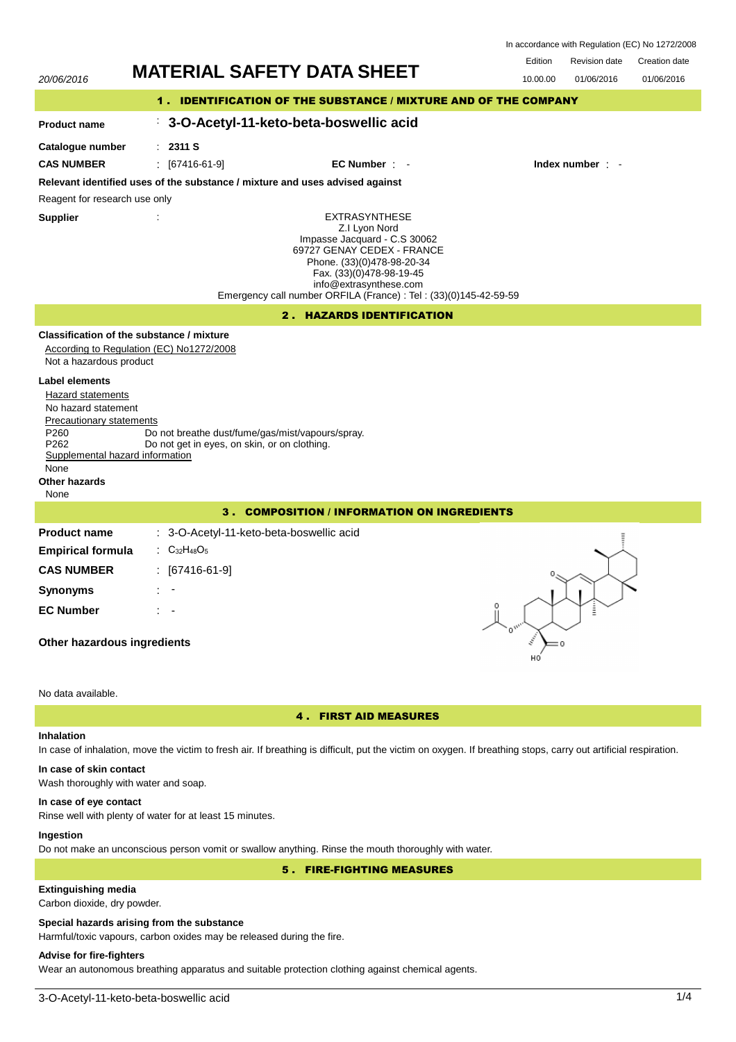|  | In accordance with Regulation (EC) No 1272/2008 |  |
|--|-------------------------------------------------|--|
|  |                                                 |  |

20/06/2016 **MATERIAL SAFETY DATA SHEET** 10.00.00 01/06/2016 Edition Revision date Creation date 01/06/2016 1 . IDENTIFICATION OF THE SUBSTANCE / MIXTURE AND OF THE COMPANY : **3-O-Acetyl-11-keto-beta-boswellic acid** : **2311 S** EXTRASYNTHESE Z.I Lyon Nord Impasse Jacquard - C.S 30062 69727 GENAY CEDEX - FRANCE Phone. (33)(0)478-98-20-34 Fax. (33)(0)478-98-19-45 info@extrasynthese.com Emergency call number ORFILA (France) : Tel : (33)(0)145-42-59-59 **Relevant identified uses of the substance / mixture and uses advised against** Reagent for research use only **CAS NUMBER** : [67416-61-9] **EC Number** : - **Index number** : - 2 . HAZARDS IDENTIFICATION **Classification of the substance / mixture** According to Regulation (EC) No1272/2008 Not a hazardous product Precautionary statements P260 Do not breathe dust/fume/gas/mist/vapours/spray.<br>P262 Do not get in eves, on skin, or on clothing. Do not get in eyes, on skin, or on clothing. Supplemental hazard information

**Label elements** Hazard statements No hazard statement

**Product name Catalogue number**

**Supplier** :

# None

## **Other hazards**

None

## 3 . COMPOSITION / INFORMATION ON INGREDIENTS

| <b>Product name</b>      | : 3-O-Acetyl-11-keto-beta-boswellic acid                    |
|--------------------------|-------------------------------------------------------------|
| <b>Empirical formula</b> | $\therefore$ C <sub>32</sub> H <sub>48</sub> O <sub>5</sub> |
| <b>CAS NUMBER</b>        | : [67416-61-9]                                              |
| <b>Synonyms</b>          | t in                                                        |
| <b>EC Number</b>         | $\mathbb{R}^n$                                              |
|                          |                                                             |

## **Other hazardous ingredients**

## No data available.

## 4 . FIRST AID MEASURES

## **Inhalation**

In case of inhalation, move the victim to fresh air. If breathing is difficult, put the victim on oxygen. If breathing stops, carry out artificial respiration.

# **In case of skin contact**

Wash thoroughly with water and soap.

## **In case of eye contact**

Rinse well with plenty of water for at least 15 minutes.

## **Ingestion**

Do not make an unconscious person vomit or swallow anything. Rinse the mouth thoroughly with water.

5 . FIRE-FIGHTING MEASURES

## **Extinguishing media**

Carbon dioxide, dry powder.

## **Special hazards arising from the substance**

Harmful/toxic vapours, carbon oxides may be released during the fire.

## **Advise for fire-fighters**

Wear an autonomous breathing apparatus and suitable protection clothing against chemical agents.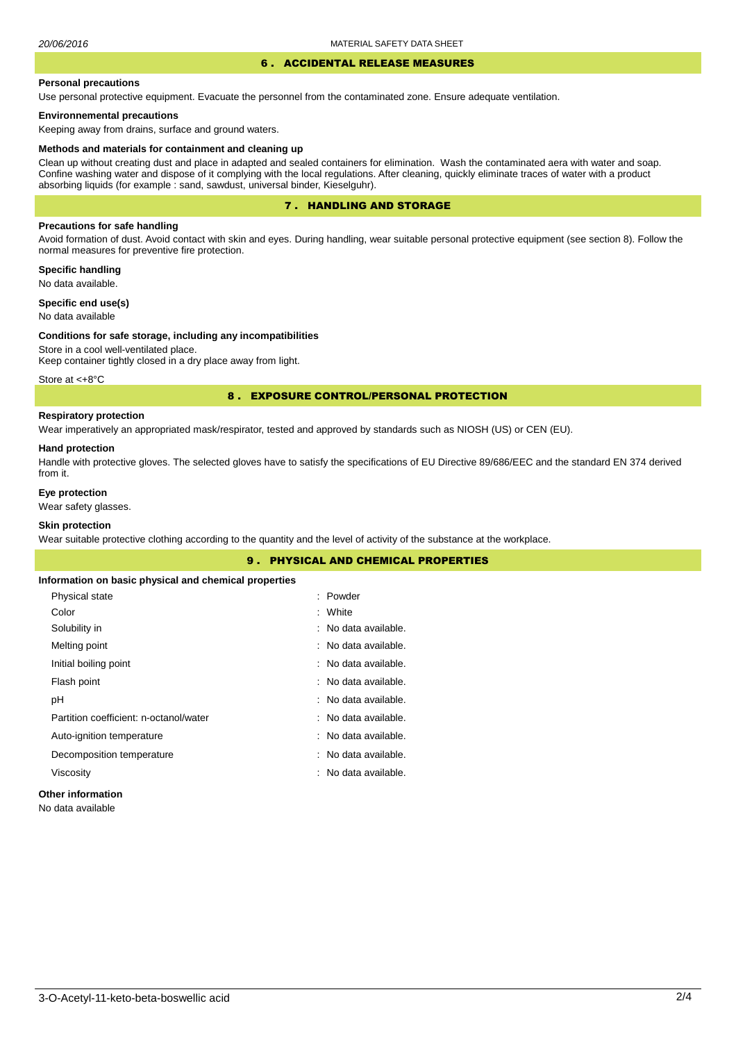#### 6 . ACCIDENTAL RELEASE MEASURES

#### **Personal precautions**

Use personal protective equipment. Evacuate the personnel from the contaminated zone. Ensure adequate ventilation.

## **Environnemental precautions**

Keeping away from drains, surface and ground waters.

#### **Methods and materials for containment and cleaning up**

Clean up without creating dust and place in adapted and sealed containers for elimination. Wash the contaminated aera with water and soap. Confine washing water and dispose of it complying with the local regulations. After cleaning, quickly eliminate traces of water with a product absorbing liquids (for example : sand, sawdust, universal binder, Kieselguhr).

## 7 . HANDLING AND STORAGE

## **Precautions for safe handling**

Avoid formation of dust. Avoid contact with skin and eyes. During handling, wear suitable personal protective equipment (see section 8). Follow the normal measures for preventive fire protection.

**Specific handling** No data available.

**Specific end use(s)**

## No data available

#### **Conditions for safe storage, including any incompatibilities**

Store in a cool well-ventilated place. Keep container tightly closed in a dry place away from light.

Store at <+8°C

## 8 . EXPOSURE CONTROL/PERSONAL PROTECTION

## **Respiratory protection**

Wear imperatively an appropriated mask/respirator, tested and approved by standards such as NIOSH (US) or CEN (EU).

#### **Hand protection**

Handle with protective gloves. The selected gloves have to satisfy the specifications of EU Directive 89/686/EEC and the standard EN 374 derived from it.

## **Eye protection**

Wear safety glasses.

## **Skin protection**

Wear suitable protective clothing according to the quantity and the level of activity of the substance at the workplace.

|                                                       | <b>9. PHYSICAL AND CHEMICAL PROPERTIES</b> |  |
|-------------------------------------------------------|--------------------------------------------|--|
| Information on basic physical and chemical properties |                                            |  |
| Physical state                                        | : Powder                                   |  |
| Color                                                 | : White                                    |  |
| Solubility in                                         | : No data available.                       |  |
| Melting point                                         | : No data available.                       |  |
| Initial boiling point                                 | : No data available.                       |  |
| Flash point                                           | : No data available.                       |  |
| рH                                                    | : No data available.                       |  |
| Partition coefficient: n-octanol/water                | : No data available.                       |  |
| Auto-ignition temperature                             | : No data available.                       |  |
| Decomposition temperature                             | : No data available.                       |  |
| Viscosity                                             | : No data available.                       |  |
|                                                       |                                            |  |

## **Other information**

No data available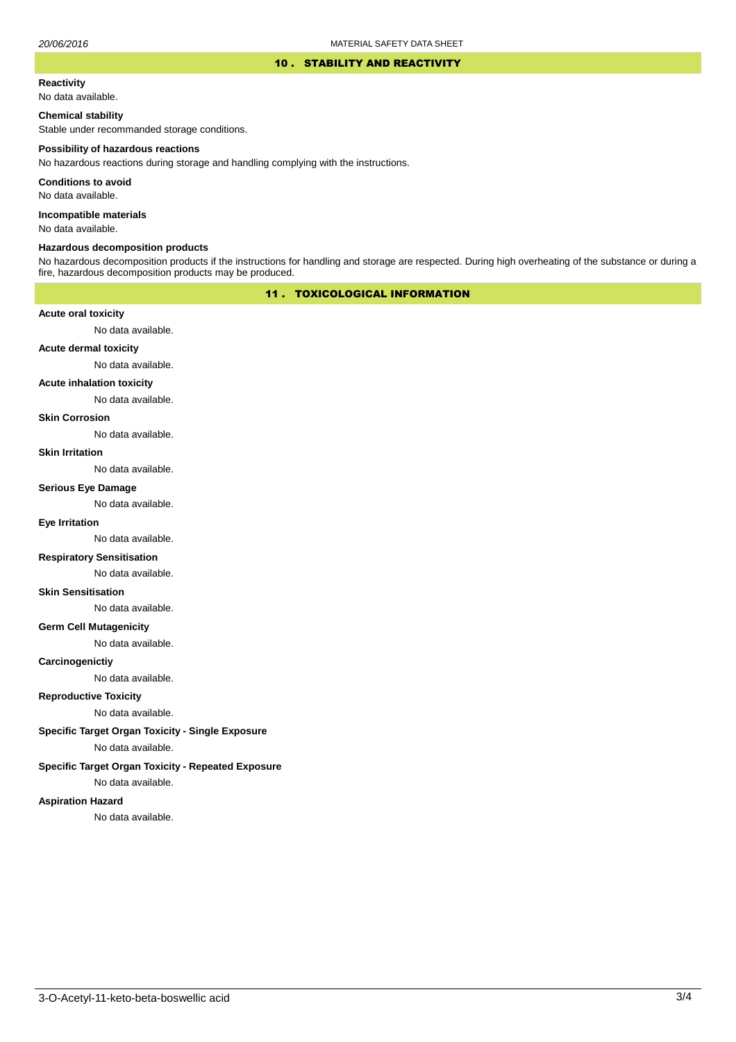#### 10 . STABILITY AND REACTIVITY

#### **Reactivity**

No data available.

## **Chemical stability**

Stable under recommanded storage conditions.

#### **Possibility of hazardous reactions**

No hazardous reactions during storage and handling complying with the instructions.

**Conditions to avoid**

No data available.

**Incompatible materials**

No data available.

#### **Hazardous decomposition products**

No hazardous decomposition products if the instructions for handling and storage are respected. During high overheating of the substance or during a fire, hazardous decomposition products may be produced.

## 11 . TOXICOLOGICAL INFORMATION

## **Acute oral toxicity**

No data available.

## **Acute dermal toxicity**

No data available.

## **Acute inhalation toxicity**

No data available.

### **Skin Corrosion**

No data available.

#### **Skin Irritation**

No data available.

#### **Serious Eye Damage**

No data available.

## **Eye Irritation**

No data available.

## **Respiratory Sensitisation**

No data available.

#### **Skin Sensitisation**

No data available.

## **Germ Cell Mutagenicity**

No data available.

## **Carcinogenictiy**

No data available.

## **Reproductive Toxicity**

No data available.

## **Specific Target Organ Toxicity - Single Exposure**

No data available.

## **Specific Target Organ Toxicity - Repeated Exposure**

No data available.

#### **Aspiration Hazard**

No data available.